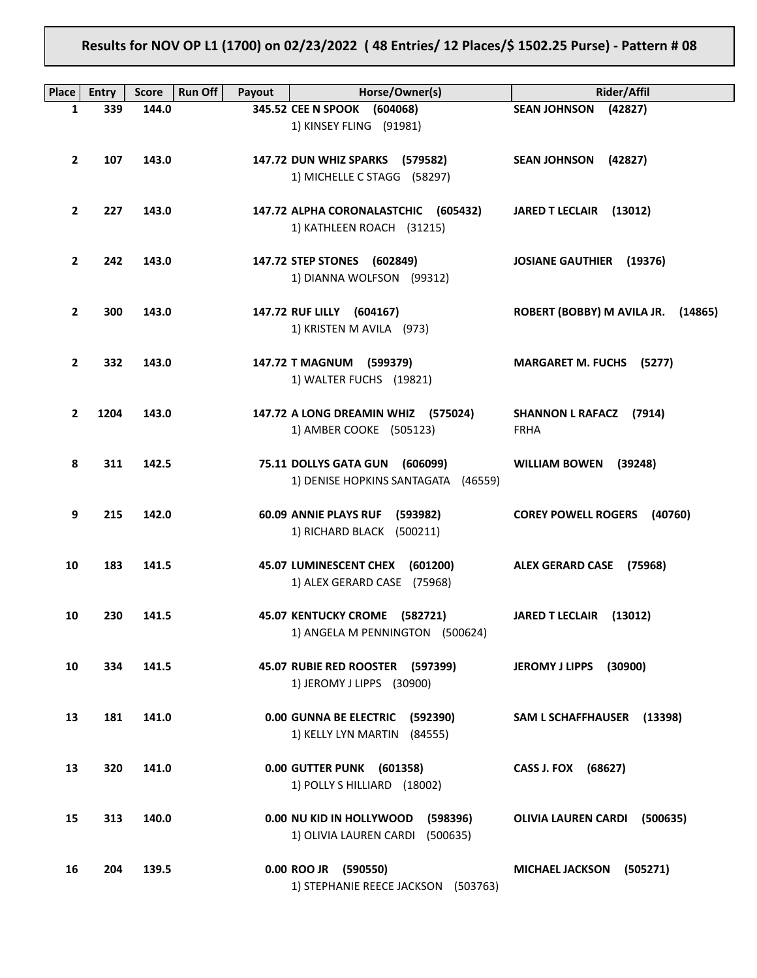**Results for NOV OP L1 (1700) on 02/23/2022 ( 48 Entries/ 12 Places/\$ 1502.25 Purse) - Pattern # 08**

| Place          | <b>Entry</b> | <b>Run Off</b><br><b>Score</b> | Payout | Horse/Owner(s)                                                             | Rider/Affil                        |
|----------------|--------------|--------------------------------|--------|----------------------------------------------------------------------------|------------------------------------|
| $\mathbf{1}$   | 339          | 144.0                          |        | 345.52 CEE N SPOOK (604068)                                                | SEAN JOHNSON (42827)               |
|                |              |                                |        | 1) KINSEY FLING (91981)                                                    |                                    |
|                |              |                                |        |                                                                            |                                    |
| $\overline{2}$ | 107          | 143.0                          |        | 147.72 DUN WHIZ SPARKS (579582)<br>1) MICHELLE C STAGG (58297)             | SEAN JOHNSON (42827)               |
|                |              |                                |        |                                                                            |                                    |
| $\overline{2}$ | 227          | 143.0                          |        | 147.72 ALPHA CORONALASTCHIC (605432)                                       | JARED T LECLAIR (13012)            |
|                |              |                                |        | 1) KATHLEEN ROACH (31215)                                                  |                                    |
|                |              |                                |        |                                                                            |                                    |
| $\overline{2}$ | 242          | 143.0                          |        | 147.72 STEP STONES (602849)                                                | JOSIANE GAUTHIER (19376)           |
|                |              |                                |        | 1) DIANNA WOLFSON (99312)                                                  |                                    |
| $\overline{2}$ | 300          | 143.0                          |        | 147.72 RUF LILLY (604167)                                                  | ROBERT (BOBBY) M AVILA JR. (14865) |
|                |              |                                |        | 1) KRISTEN M AVILA (973)                                                   |                                    |
|                |              |                                |        |                                                                            |                                    |
| $\mathbf{2}$   | 332          | 143.0                          |        | 147.72 T MAGNUM (599379)                                                   | <b>MARGARET M. FUCHS (5277)</b>    |
|                |              |                                |        | 1) WALTER FUCHS (19821)                                                    |                                    |
| $\mathbf{2}$   | 1204         | 143.0                          |        | 147.72 A LONG DREAMIN WHIZ (575024)                                        | <b>SHANNON L RAFACZ (7914)</b>     |
|                |              |                                |        | 1) AMBER COOKE (505123)                                                    | <b>FRHA</b>                        |
|                |              |                                |        |                                                                            |                                    |
| 8              | 311          | 142.5                          |        | 75.11 DOLLYS GATA GUN (606099)                                             | WILLIAM BOWEN (39248)              |
|                |              |                                |        | 1) DENISE HOPKINS SANTAGATA (46559)                                        |                                    |
| 9              | 215          | 142.0                          |        | 60.09 ANNIE PLAYS RUF (593982)                                             | <b>COREY POWELL ROGERS (40760)</b> |
|                |              |                                |        | 1) RICHARD BLACK (500211)                                                  |                                    |
|                |              |                                |        |                                                                            |                                    |
| 10             | 183          | 141.5                          |        | 45.07 LUMINESCENT CHEX (601200)                                            | ALEX GERARD CASE (75968)           |
|                |              |                                |        | 1) ALEX GERARD CASE (75968)                                                |                                    |
| 10             | 230          | 141.5                          |        | 45.07 KENTUCKY CROME (582721)                                              | JARED T LECLAIR (13012)            |
|                |              |                                |        | 1) ANGELA M PENNINGTON (500624)                                            |                                    |
|                |              |                                |        |                                                                            |                                    |
| 10             | 334          | 141.5                          |        | 45.07 RUBIE RED ROOSTER (597399)                                           | <b>JEROMY J LIPPS</b><br>(30900)   |
|                |              |                                |        | 1) JEROMY J LIPPS (30900)                                                  |                                    |
|                |              |                                |        |                                                                            |                                    |
| 13             | 181          | 141.0                          |        | 0.00 GUNNA BE ELECTRIC<br>(592390)<br>1) KELLY LYN MARTIN (84555)          | SAM L SCHAFFHAUSER (13398)         |
|                |              |                                |        |                                                                            |                                    |
| 13             | 320          | 141.0                          |        | 0.00 GUTTER PUNK (601358)                                                  | CASS J. FOX (68627)                |
|                |              |                                |        | 1) POLLY S HILLIARD (18002)                                                |                                    |
|                |              |                                |        |                                                                            |                                    |
| 15             | 313          | 140.0                          |        | 0.00 NU KID IN HOLLYWOOD<br>(598396)<br>1) OLIVIA LAUREN CARDI<br>(500635) | OLIVIA LAUREN CARDI (500635)       |
|                |              |                                |        |                                                                            |                                    |
| 16             | 204          | 139.5                          |        | 0.00 ROO JR (590550)                                                       | MICHAEL JACKSON (505271)           |
|                |              |                                |        | 1) STEPHANIE REECE JACKSON (503763)                                        |                                    |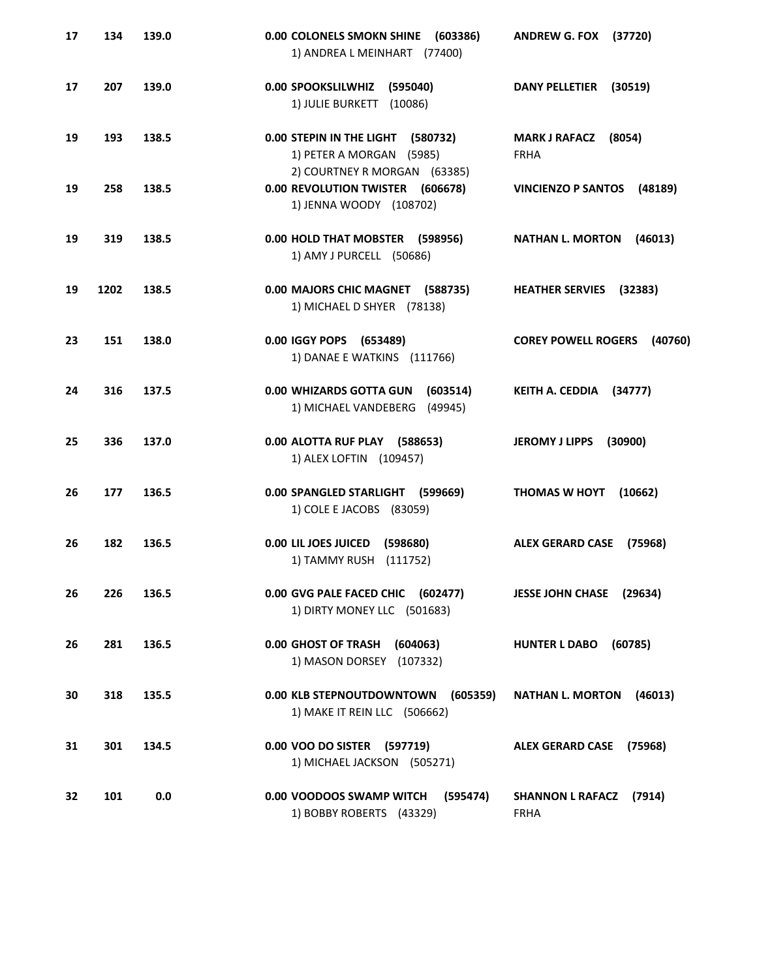| 17 | 134  | 139.0 | 0.00 COLONELS SMOKN SHINE<br>(603386)<br>1) ANDREA L MEINHART (77400)                         | <b>ANDREW G. FOX</b><br>(37720)        |
|----|------|-------|-----------------------------------------------------------------------------------------------|----------------------------------------|
| 17 | 207  | 139.0 | 0.00 SPOOKSLILWHIZ<br>(595040)<br>1) JULIE BURKETT (10086)                                    | <b>DANY PELLETIER</b><br>(30519)       |
| 19 | 193  | 138.5 | 0.00 STEPIN IN THE LIGHT (580732)<br>1) PETER A MORGAN (5985)<br>2) COURTNEY R MORGAN (63385) | MARK J RAFACZ (8054)<br><b>FRHA</b>    |
| 19 | 258  | 138.5 | 0.00 REVOLUTION TWISTER (606678)<br>1) JENNA WOODY (108702)                                   | <b>VINCIENZO P SANTOS</b><br>(48189)   |
| 19 | 319  | 138.5 | 0.00 HOLD THAT MOBSTER (598956)<br>1) AMY J PURCELL (50686)                                   | <b>NATHAN L. MORTON</b><br>(46013)     |
| 19 | 1202 | 138.5 | 0.00 MAJORS CHIC MAGNET (588735)<br>1) MICHAEL D SHYER (78138)                                | <b>HEATHER SERVIES</b><br>(32383)      |
| 23 | 151  | 138.0 | 0.00 IGGY POPS (653489)<br>1) DANAE E WATKINS (111766)                                        | <b>COREY POWELL ROGERS</b><br>(40760)  |
| 24 | 316  | 137.5 | 0.00 WHIZARDS GOTTA GUN<br>(603514)<br>1) MICHAEL VANDEBERG<br>(49945)                        | KEITH A. CEDDIA (34777)                |
| 25 | 336  | 137.0 | 0.00 ALOTTA RUF PLAY (588653)<br>1) ALEX LOFTIN (109457)                                      | <b>JEROMY J LIPPS</b><br>(30900)       |
| 26 | 177  | 136.5 | 0.00 SPANGLED STARLIGHT (599669)<br>1) COLE E JACOBS (83059)                                  | <b>THOMAS W HOYT</b><br>(10662)        |
| 26 | 182  | 136.5 | 0.00 LIL JOES JUICED<br>(598680)<br>1) TAMMY RUSH (111752)                                    | <b>ALEX GERARD CASE</b><br>(75968)     |
| 26 | 226  | 136.5 | 0.00 GVG PALE FACED CHIC (602477)<br>1) DIRTY MONEY LLC (501683)                              | JESSE JOHN CHASE (29634)               |
| 26 | 281  | 136.5 | 0.00 GHOST OF TRASH<br>(604063)<br>1) MASON DORSEY (107332)                                   | <b>HUNTER L DABO</b><br>(60785)        |
| 30 | 318  | 135.5 | 0.00 KLB STEPNOUTDOWNTOWN<br>(605359)<br>1) MAKE IT REIN LLC (506662)                         | <b>NATHAN L. MORTON</b><br>(46013)     |
| 31 | 301  | 134.5 | 0.00 VOO DO SISTER (597719)<br>1) MICHAEL JACKSON (505271)                                    | ALEX GERARD CASE (75968)               |
| 32 | 101  | 0.0   | 0.00 VOODOOS SWAMP WITCH (595474)<br>1) BOBBY ROBERTS (43329)                                 | SHANNON L RAFACZ (7914)<br><b>FRHA</b> |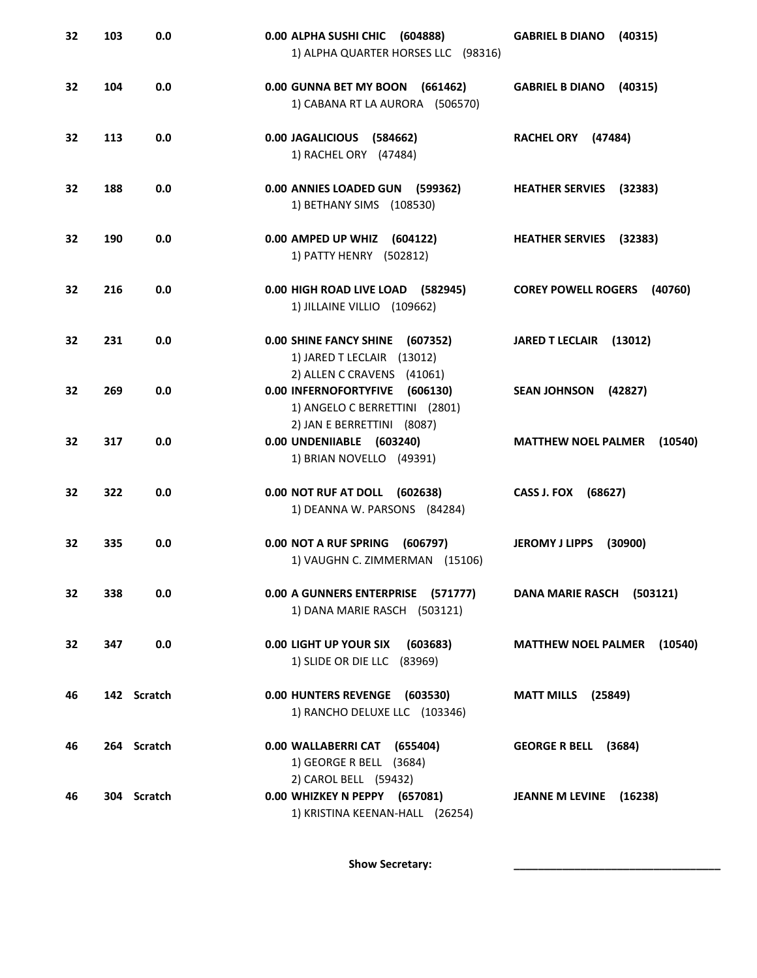| 32 | 103 | 0.0         | 0.00 ALPHA SUSHI CHIC<br>(604888)<br>1) ALPHA QUARTER HORSES LLC (98316)                      | <b>GABRIEL B DIANO</b><br>(40315)     |
|----|-----|-------------|-----------------------------------------------------------------------------------------------|---------------------------------------|
| 32 | 104 | 0.0         | 0.00 GUNNA BET MY BOON (661462)<br>1) CABANA RT LA AURORA (506570)                            | <b>GABRIEL B DIANO</b><br>(40315)     |
| 32 | 113 | 0.0         | 0.00 JAGALICIOUS (584662)<br>1) RACHEL ORY (47484)                                            | RACHEL ORY (47484)                    |
| 32 | 188 | 0.0         | 0.00 ANNIES LOADED GUN (599362)<br>1) BETHANY SIMS (108530)                                   | <b>HEATHER SERVIES</b> (32383)        |
| 32 | 190 | 0.0         | 0.00 AMPED UP WHIZ (604122)<br>1) PATTY HENRY (502812)                                        | <b>HEATHER SERVIES</b> (32383)        |
| 32 | 216 | 0.0         | 0.00 HIGH ROAD LIVE LOAD (582945)<br>1) JILLAINE VILLIO (109662)                              | <b>COREY POWELL ROGERS</b><br>(40760) |
| 32 | 231 | 0.0         | <b>0.00 SHINE FANCY SHINE</b><br>(607352)<br>1) JARED T LECLAIR (13012)                       | <b>JARED T LECLAIR</b><br>(13012)     |
| 32 | 269 | 0.0         | 2) ALLEN C CRAVENS (41061)<br>0.00 INFERNOFORTYFIVE (606130)<br>1) ANGELO C BERRETTINI (2801) | <b>SEAN JOHNSON</b><br>(42827)        |
| 32 | 317 | 0.0         | 2) JAN E BERRETTINI (8087)<br>0.00 UNDENIIABLE (603240)<br>1) BRIAN NOVELLO (49391)           | <b>MATTHEW NOEL PALMER</b><br>(10540) |
| 32 | 322 | 0.0         | 0.00 NOT RUF AT DOLL (602638)<br>1) DEANNA W. PARSONS (84284)                                 | CASS J. FOX<br>(68627)                |
| 32 | 335 | 0.0         | 0.00 NOT A RUF SPRING<br>(606797)<br>1) VAUGHN C. ZIMMERMAN (15106)                           | <b>JEROMY J LIPPS</b><br>(30900)      |
| 32 | 338 | 0.0         | 0.00 A GUNNERS ENTERPRISE (571777)<br>1) DANA MARIE RASCH (503121)                            | DANA MARIE RASCH (503121)             |
| 32 | 347 | 0.0         | 0.00 LIGHT UP YOUR SIX<br>(603683)<br>1) SLIDE OR DIE LLC (83969)                             | <b>MATTHEW NOEL PALMER</b><br>(10540) |
| 46 |     | 142 Scratch | 0.00 HUNTERS REVENGE (603530)<br>1) RANCHO DELUXE LLC (103346)                                | <b>MATT MILLS</b> (25849)             |
| 46 |     | 264 Scratch | 0.00 WALLABERRI CAT (655404)<br>1) GEORGE R BELL (3684)                                       | <b>GEORGE R BELL</b><br>(3684)        |
| 46 |     | 304 Scratch | 2) CAROL BELL (59432)<br>0.00 WHIZKEY N PEPPY (657081)<br>1) KRISTINA KEENAN-HALL (26254)     | JEANNE M LEVINE (16238)               |

Show Secretary: